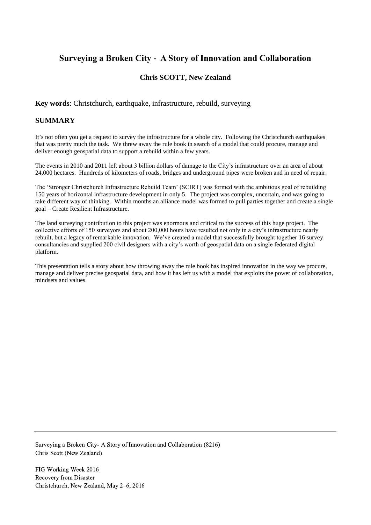# **Surveying a Broken City - A Story of Innovation and Collaboration**

## **Chris SCOTT, New Zealand**

**Key words**: Christchurch, earthquake, infrastructure, rebuild, surveying

#### **SUMMARY**

It's not often you get a request to survey the infrastructure for a whole city. Following the Christchurch earthquakes that was pretty much the task. We threw away the rule book in search of a model that could procure, manage and deliver enough geospatial data to support a rebuild within a few years.

The events in 2010 and 2011 left about 3 billion dollars of damage to the City's infrastructure over an area of about 24,000 hectares. Hundreds of kilometers of roads, bridges and underground pipes were broken and in need of repair.

The 'Stronger Christchurch Infrastructure Rebuild Team' (SCIRT) was formed with the ambitious goal of rebuilding 150 years of horizontal infrastructure development in only 5. The project was complex, uncertain, and was going to take different way of thinking. Within months an alliance model was formed to pull parties together and create a single goal – Create Resilient Infrastructure.

The land surveying contribution to this project was enormous and critical to the success of this huge project. The collective efforts of 150 surveyors and about 200,000 hours have resulted not only in a city's infrastructure nearly rebuilt, but a legacy of remarkable innovation. We've created a model that successfully brought together 16 survey consultancies and supplied 200 civil designers with a city's worth of geospatial data on a single federated digital platform.

This presentation tells a story about how throwing away the rule book has inspired innovation in the way we procure, manage and deliver precise geospatial data, and how it has left us with a model that exploits the power of collaboration, mindsets and values.

Surveying a Broken City- A Story of Innovation and Collaboration (8216) Chris Scott (New Zealand)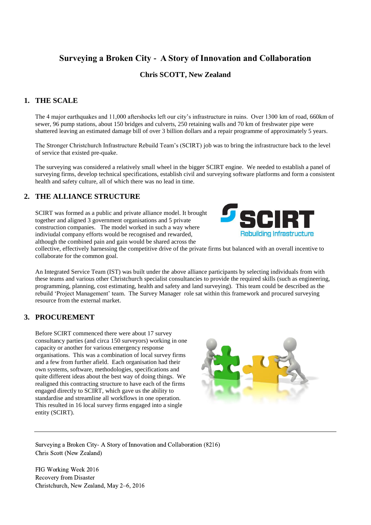# **Surveying a Broken City - A Story of Innovation and Collaboration**

## **Chris SCOTT, New Zealand**

## **1. THE SCALE**

The 4 major earthquakes and 11,000 aftershocks left our city's infrastructure in ruins. Over 1300 km of road, 660km of sewer, 96 pump stations, about 150 bridges and culverts, 250 retaining walls and 70 km of freshwater pipe were shattered leaving an estimated damage bill of over 3 billion dollars and a repair programme of approximately 5 years.

The Stronger Christchurch Infrastructure Rebuild Team's (SCIRT) job was to bring the infrastructure back to the level of service that existed pre-quake.

The surveying was considered a relatively small wheel in the bigger SCIRT engine. We needed to establish a panel of surveying firms, develop technical specifications, establish civil and surveying software platforms and form a consistent health and safety culture, all of which there was no lead in time.

#### **2. THE ALLIANCE STRUCTURE**

SCIRT was formed as a public and private alliance model. It brought together and aligned 3 government organisations and 5 private construction companies. The model worked in such a way where indiviudal company efforts would be recognised and rewarded, although the combined pain and gain would be shared across the



collective, effectively harnessing the competitive drive of the private firms but balanced with an overall incentive to collaborate for the common goal.

An Integrated Service Team (IST) was built under the above alliance participants by selecting individuals from with these teams and various other Christchurch specialist consultancies to provide the required skills (such as engineering, programming, planning, cost estimating, health and safety and land surveying). This team could be described as the rebuild 'Project Management' team. The Survey Manager role sat within this framework and procured surveying resource from the external market.

### **3. PROCUREMENT**

Before SCIRT commenced there were about 17 survey consultancy parties (and circa 150 surveyors) working in one capacity or another for various emergency response organisations. This was a combination of local survey firms and a few from further afield. Each organisation had their own systems, software, methodologies, specifications and quite different ideas about the best way of doing things. We realigned this contracting structure to have each of the firms engaged directly to SCIRT, which gave us the ability to standardise and streamline all workflows in one operation. This resulted in 16 local survey firms engaged into a single entity (SCIRT).



Surveying a Broken City- A Story of Innovation and Collaboration (8216) Chris Scott (New Zealand)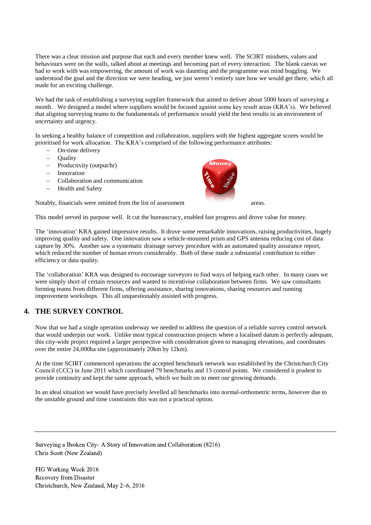There was a clear mission and purpose that each and every member knew well. The SCIRT mindsets, values and behaviours were on the walls, talked about at meetings and becoming part of every interaction. The blank canvas we had to work with was empowering, the amount of work was daunting and the programme was mind boggling. We understood the goal and the direction we were heading, we just weren't entirely sure how we would get there, which all made for an exciting challenge.

We had the task of establishing a surveying supplier framework that aimed to deliver about 5000 hours of surveying a month. We designed a model where suppliers would be focused against some key result areas (KRA's). We believed that aligning surveying teams to the fundamentals of performance would yield the best results in an environment of uncertainty and urgency.

In seeking a healthy balance of competition and collaboration, suppliers with the highest aggregate scores would be prioritised for work allocation. The KRA's comprised of the following performance attributes:

- On-time delivery
- **Ouality**
- Productivity (output/hr)
- $-$  Innovation
- Collaboration and communication
- Health and Safety

Notably, financials were omitted from the list of assessment areas.



This model served its purpose well. It cut the bureaucracy, enabled fast progress and drove value for money.

The 'innovation' KRA gained impressive results. It drove some remarkable innovations, raising productivities, hugely improving quality and safety. One innovation saw a vehicle-mounted prism and GPS antenna reducing cost of data capture by 30%. Another saw a systematic drainage survey procedure with an automated quality assurance report, which reduced the number of human errors considerably. Both of these made a substantial contribution to either efficiency or data quality.

The 'collaboration' KRA was designed to encourage surveyors to find ways of helping each other. In many cases we were simply short of certain resources and wanted to incentivise collaboration between firms. We saw consultants forming teams from different firms, offering assistance, sharing innovations, sharing resources and running improvement workshops. This all unquestionably assisted with progress.

### **4. THE SURVEY CONTROL**

Now that we had a single operation underway we needed to address the question of a reliable survey control network that would underpin our work. Unlike most typical construction projects where a localised datum is perfectly adequate, this city-wide project required a larger perspective with consideration given to managing elevations, and coordinates over the entire 24,000ha site (approximately 20km by 12km).

At the time SCIRT commenced operations the accepted benchmark network was established by the Christchurch City Council (CCC) in June 2011 which coordinated 79 benchmarks and 13 control points. We considered it prudent to provide continuity and kept the same approach, which we built on to meet our growing demands.

In an ideal situation we would have precisely levelled all benchmarks into normal-orthometric terms, however due to the unstable ground and time constraints this was not a practical option.

Surveying a Broken City- A Story of Innovation and Collaboration (8216) Chris Scott (New Zealand)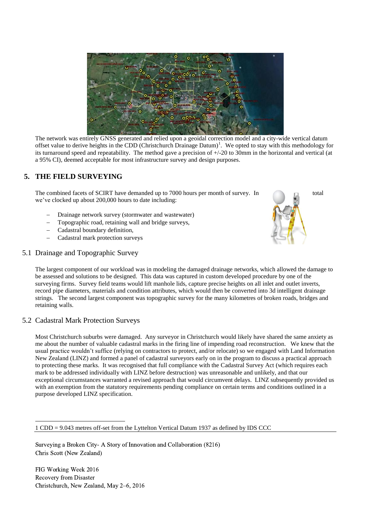

The network was entirely GNSS generated and relied upon a geoidal correction model and a city-wide vertical datum offset value to derive heights in the CDD (Christchurch Drainage Datum)<sup>1</sup>. We opted to stay with this methodology for its turnaround speed and repeatability. The method gave a precision of +/-20 to 30mm in the horizontal and vertical (at a 95% CI), deemed acceptable for most infrastructure survey and design purposes.

## **5. THE FIELD SURVEYING**

The combined facets of SCIRT have demanded up to 7000 hours per month of survey. In total we've clocked up about 200,000 hours to date including:

- Drainage network survey (stormwater and wastewater)
- Topographic road, retaining wall and bridge surveys,
- Cadastral boundary definition,
- Cadastral mark protection surveys

#### 5.1 Drainage and Topographic Survey



#### 5.2 Cadastral Mark Protection Surveys

Most Christchurch suburbs were damaged. Any surveyor in Christchurch would likely have shared the same anxiety as me about the number of valuable cadastral marks in the firing line of impending road reconstruction. We knew that the usual practice wouldn't suffice (relying on contractors to protect, and/or relocate) so we engaged with Land Information New Zealand (LINZ) and formed a panel of cadastral surveyors early on in the program to discuss a practical approach to protecting these marks. It was recognised that full compliance with the Cadastral Survey Act (which requires each mark to be addressed individually with LINZ before destruction) was unreasonable and unlikely, and that our exceptional circumstances warranted a revised approach that would circumvent delays. LINZ subsequently provided us with an exemption from the statutory requirements pending compliance on certain terms and conditions outlined in a purpose developed LINZ specification.

Surveying a Broken City- A Story of Innovation and Collaboration (8216) Chris Scott (New Zealand)

FIG Working Week 2016 Recovery from Disaster Christchurch, New Zealand, May 2–6, 2016

1

<sup>1</sup> CDD = 9.043 metres off-set from the Lyttelton Vertical Datum 1937 as defined by IDS CCC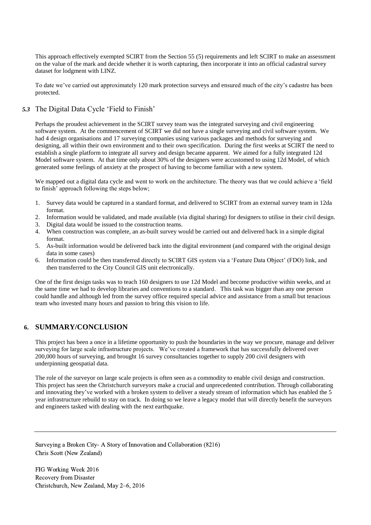This approach effectively exempted SCIRT from the Section 55 (5) requirements and left SCIRT to make an assessment on the value of the mark and decide whether it is worth capturing, then incorporate it into an official cadastral survey dataset for lodgment with LINZ.

To date we've carried out approximately 120 mark protection surveys and ensured much of the city's cadastre has been protected.

#### *5.3* The Digital Data Cycle 'Field to Finish'

Perhaps the proudest achievement in the SCIRT survey team was the integrated surveying and civil engineering software system. At the commencement of SCIRT we did not have a single surveying and civil software system. We had 4 design organisations and 17 surveying companies using various packages and methods for surveying and designing, all within their own environment and to their own specification. During the first weeks at SCIRT the need to establish a single platform to integrate all survey and design became apparent. We aimed for a fully integrated 12d Model software system. At that time only about 30% of the designers were accustomed to using 12d Model, of which generated some feelings of anxiety at the prospect of having to become familiar with a new system.

We mapped out a digital data cycle and went to work on the architecture. The theory was that we could achieve a 'field to finish' approach following the steps below;

- 1. Survey data would be captured in a standard format, and delivered to SCIRT from an external survey team in 12da format.
- 2. Information would be validated, and made available (via digital sharing) for designers to utilise in their civil design.
- 3. Digital data would be issued to the construction teams.
- 4. When construction was complete, an as-built survey would be carried out and delivered back in a simple digital format.
- 5. As-built information would be delivered back into the digital environment (and compared with the original design data in some cases)
- 6. Information could be then transferred directly to SCIRT GIS system via a 'Feature Data Object' (FDO) link, and then transferred to the City Council GIS unit electronically.

One of the first design tasks was to teach 160 designers to use 12d Model and become productive within weeks, and at the same time we had to develop libraries and conventions to a standard. This task was bigger than any one person could handle and although led from the survey office required special advice and assistance from a small but tenacious team who invested many hours and passion to bring this vision to life.

#### **6. SUMMARY/CONCLUSION**

This project has been a once in a lifetime opportunity to push the boundaries in the way we procure, manage and deliver surveying for large scale infrastructure projects. We've created a framework that has successfully delivered over 200,000 hours of surveying, and brought 16 survey consultancies together to supply 200 civil designers with underpinning geospatial data.

The role of the surveyor on large scale projects is often seen as a commodity to enable civil design and construction. This project has seen the Christchurch surveyors make a crucial and unprecedented contribution. Through collaborating and innovating they've worked with a broken system to deliver a steady stream of information which has enabled the  $\overline{5}$ year infrastructure rebuild to stay on track. In doing so we leave a legacy model that will directly benefit the surveyors and engineers tasked with dealing with the next earthquake.

Surveying a Broken City- A Story of Innovation and Collaboration (8216) Chris Scott (New Zealand)